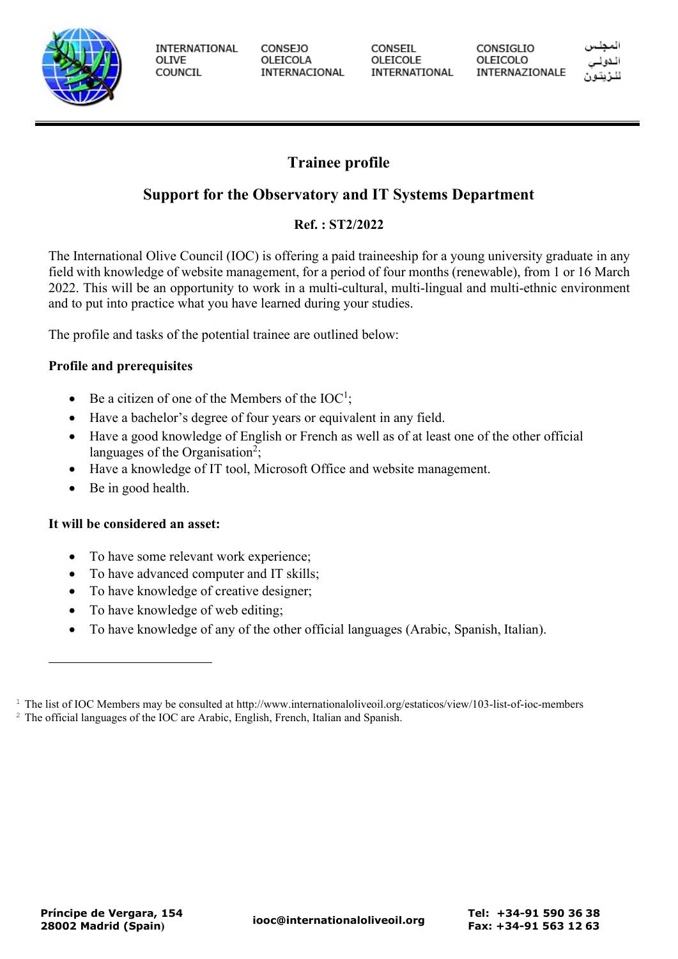

**INTERNATIONAL** OLIVE COUNCIL

**CONSEJO** OLEICOLA INTERNACIONAL CONSEIL OLEICOLE INTERNATIONAL CONSIGLIO OLEICOLO INTERNAZIONALE

# **Trainee profile**

## **Support for the Observatory and IT Systems Department**

## **Ref. : ST2/2022**

The International Olive Council (IOC) is offering a paid traineeship for a young university graduate in any field with knowledge of website management, for a period of four months (renewable), from 1 or 16 March 2022. This will be an opportunity to work in a multi-cultural, multi-lingual and multi-ethnic environment and to put into practice what you have learned during your studies.

The profile and tasks of the potential trainee are outlined below:

## **Profile and prerequisites**

- Be a citizen of one of the Members of the  $IOC^1$ ;
- Have a bachelor's degree of four years or equivalent in any field.
- Have a good knowledge of English or French as well as of at least one of the other official languages of the Organisation<sup>2</sup>;
- Have a knowledge of IT tool, Microsoft Office and website management.
- Be in good health.

## **It will be considered an asset:**

- To have some relevant work experience;
- To have advanced computer and IT skills;
- To have knowledge of creative designer;
- To have knowledge of web editing;
- To have knowledge of any of the other official languages (Arabic, Spanish, Italian).

 $1$  The list of IOC Members may be consulted at http://www.internationaloliveoil.org/estaticos/view/103-list-of-ioc-members

<sup>&</sup>lt;sup>2</sup> The official languages of the IOC are Arabic, English, French, Italian and Spanish.